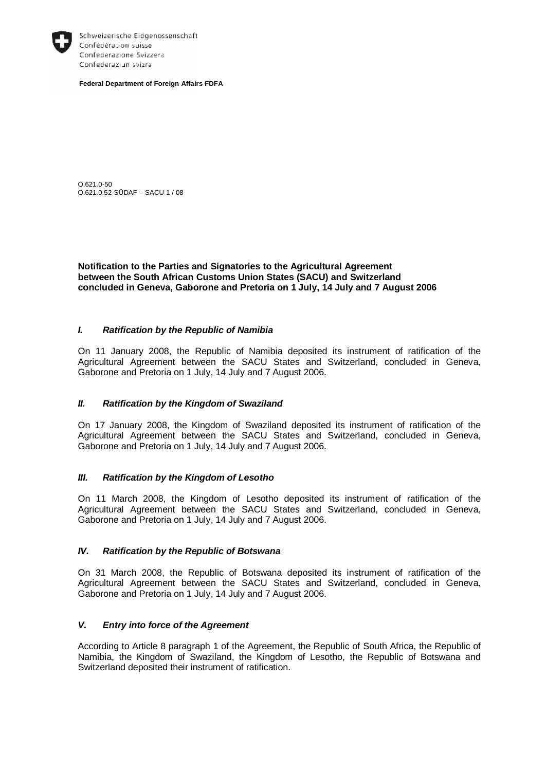

Schweizerische Eidgenossenschaft Confédération suisse Confederazione Svizzera Confederaziun svizra

**Federal Department of Foreign Affairs FDFA** 

O.621.0-50 O.621.0.52-SÜDAF – SACU 1 / 08

**Notification to the Parties and Signatories to the Agricultural Agreement between the South African Customs Union States (SACU) and Switzerland concluded in Geneva, Gaborone and Pretoria on 1 July, 14 July and 7 August 2006** 

### *I. Ratification by the Republic of Namibia*

On 11 January 2008, the Republic of Namibia deposited its instrument of ratification of the Agricultural Agreement between the SACU States and Switzerland, concluded in Geneva, Gaborone and Pretoria on 1 July, 14 July and 7 August 2006.

# *II. Ratification by the Kingdom of Swaziland*

On 17 January 2008, the Kingdom of Swaziland deposited its instrument of ratification of the Agricultural Agreement between the SACU States and Switzerland, concluded in Geneva, Gaborone and Pretoria on 1 July, 14 July and 7 August 2006.

#### *III. Ratification by the Kingdom of Lesotho*

On 11 March 2008, the Kingdom of Lesotho deposited its instrument of ratification of the Agricultural Agreement between the SACU States and Switzerland, concluded in Geneva, Gaborone and Pretoria on 1 July, 14 July and 7 August 2006.

### *IV. Ratification by the Republic of Botswana*

On 31 March 2008, the Republic of Botswana deposited its instrument of ratification of the Agricultural Agreement between the SACU States and Switzerland, concluded in Geneva, Gaborone and Pretoria on 1 July, 14 July and 7 August 2006.

# *V. Entry into force of the Agreement*

According to Article 8 paragraph 1 of the Agreement, the Republic of South Africa, the Republic of Namibia, the Kingdom of Swaziland, the Kingdom of Lesotho, the Republic of Botswana and Switzerland deposited their instrument of ratification.